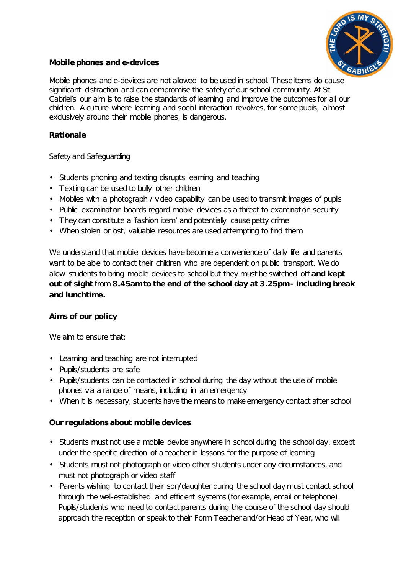

# **Mobile phones and e-devices**

Mobile phones and e-devices are not allowed to be used in school. These items do cause significant distraction and can compromise the safety of our school community. At St Gabriel's our aim is to raise the standards of learning and improve the outcomes for all our children. A culture where learning and social interaction revolves, for some pupils, almost exclusively around their mobile phones, is dangerous.

### **Rationale**

Safety and Safeguarding

- Students phoning and texting disrupts learning and teaching
- Texting can be used to bully other children
- Mobiles with a photograph / video capability can be used to transmit images of pupils
- Public examination boards regard mobile devices as a threat to examination security
- They can constitute a 'fashion item' and potentially cause petty crime
- When stolen or lost, valuable resources are used attempting to find them

We understand that mobile devices have become a convenience of daily life and parents want to be able to contact their children who are dependent on public transport. We do allow students to bring mobile devices to school but they must be switched off **and kept out of sight** from **8.45am to the end of the school day at 3.25pm - including break and lunchtime.**

# **Aims of our policy**

We aim to ensure that:

- Learning and teaching are not interrupted
- Pupils/students are safe
- Pupils/students can be contacted in school during the day without the use of mobile phones via a range of means, including in an emergency
- When it is necessary, students have the means to make emergency contact after school

#### **Our regulations about mobile devices**

- Students must not use a mobile device anywhere in school during the school day, except under the specific direction of a teacher in lessons for the purpose of learning
- Students must not photograph or video other students under any circumstances, and must not photograph or video staff
- Parents wishing to contact their son/daughter during the school day must contact school through the well-established and efficient systems (for example, email or telephone). Pupils/students who need to contact parents during the course of the school day should approach the reception or speak to their Form Teacher and/or Head of Year, who will